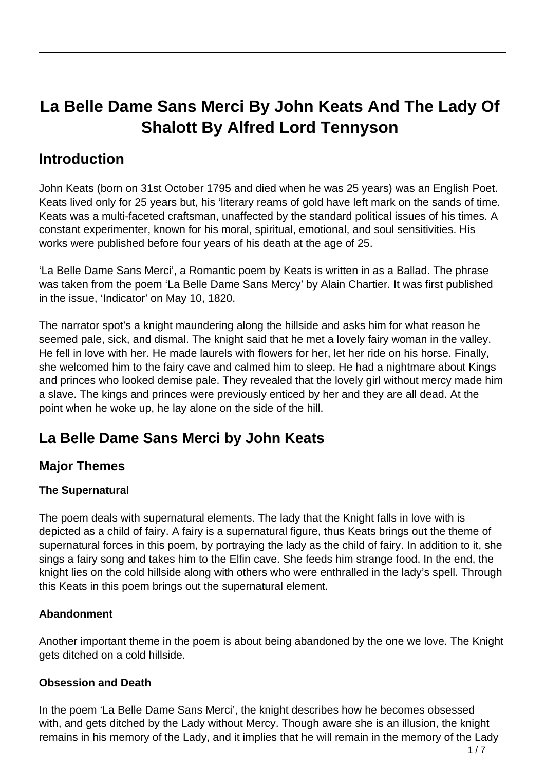# **La Belle Dame Sans Merci By John Keats And The Lady Of Shalott By Alfred Lord Tennyson**

## **Introduction**

John Keats (born on 31st October 1795 and died when he was 25 years) was an English Poet. Keats lived only for 25 years but, his 'literary reams of gold have left mark on the sands of time. Keats was a multi-faceted craftsman, unaffected by the standard political issues of his times. A constant experimenter, known for his moral, spiritual, emotional, and soul sensitivities. His works were published before four years of his death at the age of 25.

'La Belle Dame Sans Merci', a Romantic poem by Keats is written in as a Ballad. The phrase was taken from the poem 'La Belle Dame Sans Mercy' by Alain Chartier. It was first published in the issue, 'Indicator' on May 10, 1820.

The narrator spot's a knight maundering along the hillside and asks him for what reason he seemed pale, sick, and dismal. The knight said that he met a lovely fairy woman in the valley. He fell in love with her. He made laurels with flowers for her, let her ride on his horse. Finally, she welcomed him to the fairy cave and calmed him to sleep. He had a nightmare about Kings and princes who looked demise pale. They revealed that the lovely girl without mercy made him a slave. The kings and princes were previously enticed by her and they are all dead. At the point when he woke up, he lay alone on the side of the hill.

## **La Belle Dame Sans Merci by John Keats**

### **Major Themes**

#### **The Supernatural**

The poem deals with supernatural elements. The lady that the Knight falls in love with is depicted as a child of fairy. A fairy is a supernatural figure, thus Keats brings out the theme of supernatural forces in this poem, by portraying the lady as the child of fairy. In addition to it, she sings a fairy song and takes him to the Elfin cave. She feeds him strange food. In the end, the knight lies on the cold hillside along with others who were enthralled in the lady's spell. Through this Keats in this poem brings out the supernatural element.

#### **Abandonment**

Another important theme in the poem is about being abandoned by the one we love. The Knight gets ditched on a cold hillside.

#### **Obsession and Death**

In the poem 'La Belle Dame Sans Merci', the knight describes how he becomes obsessed with, and gets ditched by the Lady without Mercy. Though aware she is an illusion, the knight remains in his memory of the Lady, and it implies that he will remain in the memory of the Lady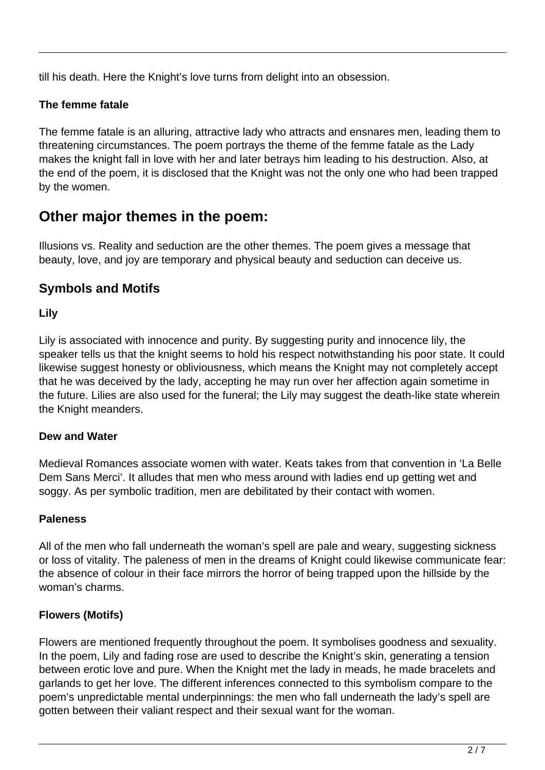till his death. Here the Knight's love turns from delight into an obsession.

#### **The femme fatale**

The femme fatale is an alluring, attractive lady who attracts and ensnares men, leading them to threatening circumstances. The poem portrays the theme of the femme fatale as the Lady makes the knight fall in love with her and later betrays him leading to his destruction. Also, at the end of the poem, it is disclosed that the Knight was not the only one who had been trapped by the women.

## **Other major themes in the poem:**

Illusions vs. Reality and seduction are the other themes. The poem gives a message that beauty, love, and joy are temporary and physical beauty and seduction can deceive us.

### **Symbols and Motifs**

#### **Lily**

Lily is associated with innocence and purity. By suggesting purity and innocence lily, the speaker tells us that the knight seems to hold his respect notwithstanding his poor state. It could likewise suggest honesty or obliviousness, which means the Knight may not completely accept that he was deceived by the lady, accepting he may run over her affection again sometime in the future. Lilies are also used for the funeral; the Lily may suggest the death-like state wherein the Knight meanders.

#### **Dew and Water**

Medieval Romances associate women with water. Keats takes from that convention in 'La Belle Dem Sans Merci'. It alludes that men who mess around with ladies end up getting wet and soggy. As per symbolic tradition, men are debilitated by their contact with women.

#### **Paleness**

All of the men who fall underneath the woman's spell are pale and weary, suggesting sickness or loss of vitality. The paleness of men in the dreams of Knight could likewise communicate fear: the absence of colour in their face mirrors the horror of being trapped upon the hillside by the woman's charms.

#### **Flowers (Motifs)**

Flowers are mentioned frequently throughout the poem. It symbolises goodness and sexuality. In the poem, Lily and fading rose are used to describe the Knight's skin, generating a tension between erotic love and pure. When the Knight met the lady in meads, he made bracelets and garlands to get her love. The different inferences connected to this symbolism compare to the poem's unpredictable mental underpinnings: the men who fall underneath the lady's spell are gotten between their valiant respect and their sexual want for the woman.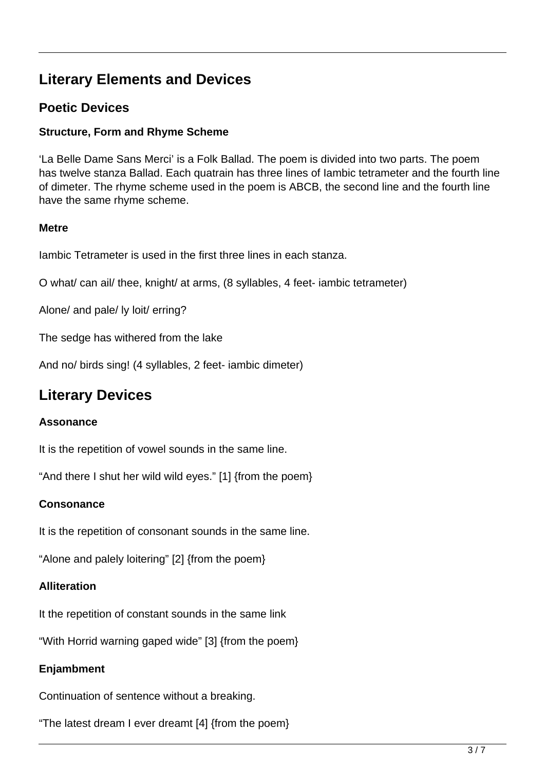## **Literary Elements and Devices**

### **Poetic Devices**

#### **Structure, Form and Rhyme Scheme**

'La Belle Dame Sans Merci' is a Folk Ballad. The poem is divided into two parts. The poem has twelve stanza Ballad. Each quatrain has three lines of Iambic tetrameter and the fourth line of dimeter. The rhyme scheme used in the poem is ABCB, the second line and the fourth line have the same rhyme scheme.

#### **Metre**

Iambic Tetrameter is used in the first three lines in each stanza.

O what/ can ail/ thee, knight/ at arms, (8 syllables, 4 feet- iambic tetrameter)

Alone/ and pale/ ly loit/ erring?

The sedge has withered from the lake

And no/ birds sing! (4 syllables, 2 feet- iambic dimeter)

## **Literary Devices**

#### **Assonance**

It is the repetition of vowel sounds in the same line.

"And there I shut her wild wild eyes." [1] {from the poem}

#### **Consonance**

It is the repetition of consonant sounds in the same line.

"Alone and palely loitering" [2] {from the poem}

#### **Alliteration**

It the repetition of constant sounds in the same link

"With Horrid warning gaped wide" [3] {from the poem}

#### **Enjambment**

Continuation of sentence without a breaking.

"The latest dream I ever dreamt [4] {from the poem}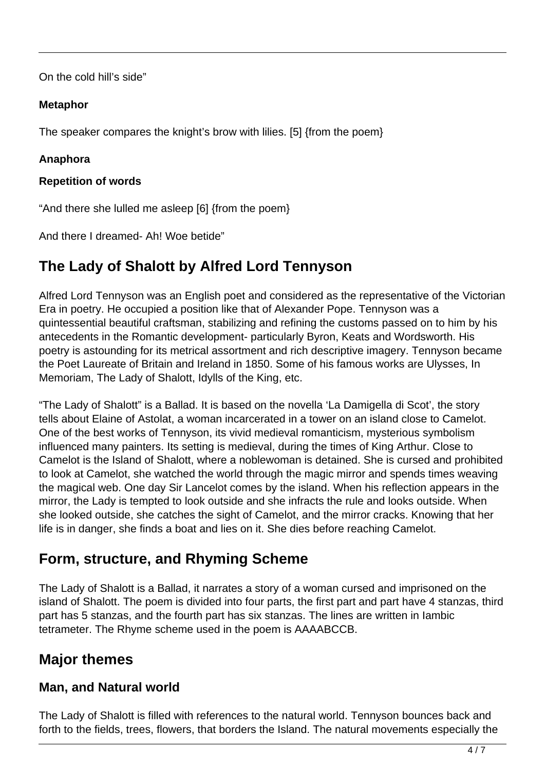On the cold hill's side"

#### **Metaphor**

The speaker compares the knight's brow with lilies. [5] {from the poem}

#### **Anaphora**

#### **Repetition of words**

"And there she lulled me asleep [6] {from the poem}

And there I dreamed- Ah! Woe betide"

## **The Lady of Shalott by Alfred Lord Tennyson**

Alfred Lord Tennyson was an English poet and considered as the representative of the Victorian Era in poetry. He occupied a position like that of Alexander Pope. Tennyson was a quintessential beautiful craftsman, stabilizing and refining the customs passed on to him by his antecedents in the Romantic development- particularly Byron, Keats and Wordsworth. His poetry is astounding for its metrical assortment and rich descriptive imagery. Tennyson became the Poet Laureate of Britain and Ireland in 1850. Some of his famous works are Ulysses, In Memoriam, The Lady of Shalott, Idylls of the King, etc.

"The Lady of Shalott" is a Ballad. It is based on the novella 'La Damigella di Scot', the story tells about Elaine of Astolat, a woman incarcerated in a tower on an island close to Camelot. One of the best works of Tennyson, its vivid medieval romanticism, mysterious symbolism influenced many painters. Its setting is medieval, during the times of King Arthur. Close to Camelot is the Island of Shalott, where a noblewoman is detained. She is cursed and prohibited to look at Camelot, she watched the world through the magic mirror and spends times weaving the magical web. One day Sir Lancelot comes by the island. When his reflection appears in the mirror, the Lady is tempted to look outside and she infracts the rule and looks outside. When she looked outside, she catches the sight of Camelot, and the mirror cracks. Knowing that her life is in danger, she finds a boat and lies on it. She dies before reaching Camelot.

## **Form, structure, and Rhyming Scheme**

The Lady of Shalott is a Ballad, it narrates a story of a woman cursed and imprisoned on the island of Shalott. The poem is divided into four parts, the first part and part have 4 stanzas, third part has 5 stanzas, and the fourth part has six stanzas. The lines are written in Iambic tetrameter. The Rhyme scheme used in the poem is AAAABCCB.

## **Major themes**

#### **Man, and Natural world**

The Lady of Shalott is filled with references to the natural world. Tennyson bounces back and forth to the fields, trees, flowers, that borders the Island. The natural movements especially the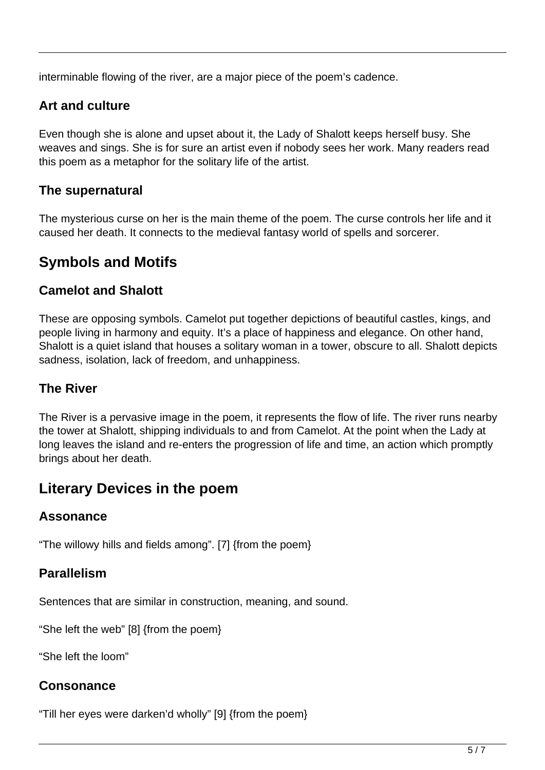interminable flowing of the river, are a major piece of the poem's cadence.

### **Art and culture**

Even though she is alone and upset about it, the Lady of Shalott keeps herself busy. She weaves and sings. She is for sure an artist even if nobody sees her work. Many readers read this poem as a metaphor for the solitary life of the artist.

### **The supernatural**

The mysterious curse on her is the main theme of the poem. The curse controls her life and it caused her death. It connects to the medieval fantasy world of spells and sorcerer.

## **Symbols and Motifs**

### **Camelot and Shalott**

These are opposing symbols. Camelot put together depictions of beautiful castles, kings, and people living in harmony and equity. It's a place of happiness and elegance. On other hand, Shalott is a quiet island that houses a solitary woman in a tower, obscure to all. Shalott depicts sadness, isolation, lack of freedom, and unhappiness.

## **The River**

The River is a pervasive image in the poem, it represents the flow of life. The river runs nearby the tower at Shalott, shipping individuals to and from Camelot. At the point when the Lady at long leaves the island and re-enters the progression of life and time, an action which promptly brings about her death.

## **Literary Devices in the poem**

#### **Assonance**

"The willowy hills and fields among". [7] {from the poem}

### **Parallelism**

Sentences that are similar in construction, meaning, and sound.

"She left the web" [8] {from the poem}

"She left the loom"

### **Consonance**

"Till her eyes were darken'd wholly" [9] {from the poem}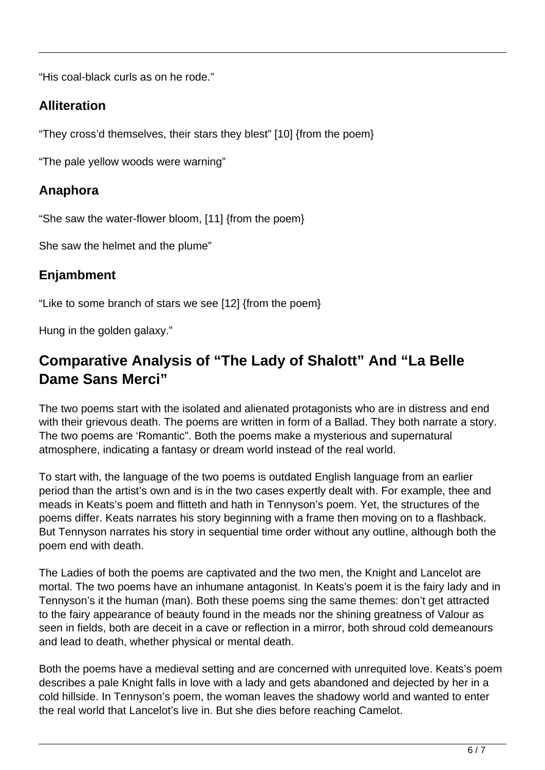"His coal-black curls as on he rode."

### **Alliteration**

"They cross'd themselves, their stars they blest" [10] {from the poem}

"The pale yellow woods were warning"

## **Anaphora**

"She saw the water-flower bloom, [11] {from the poem}

She saw the helmet and the plume"

## **Enjambment**

"Like to some branch of stars we see [12] {from the poem}

Hung in the golden galaxy."

## **Comparative Analysis of "The Lady of Shalott" And "La Belle Dame Sans Merci"**

The two poems start with the isolated and alienated protagonists who are in distress and end with their grievous death. The poems are written in form of a Ballad. They both narrate a story. The two poems are 'Romantic". Both the poems make a mysterious and supernatural atmosphere, indicating a fantasy or dream world instead of the real world.

To start with, the language of the two poems is outdated English language from an earlier period than the artist's own and is in the two cases expertly dealt with. For example, thee and meads in Keats's poem and flitteth and hath in Tennyson's poem. Yet, the structures of the poems differ. Keats narrates his story beginning with a frame then moving on to a flashback. But Tennyson narrates his story in sequential time order without any outline, although both the poem end with death.

The Ladies of both the poems are captivated and the two men, the Knight and Lancelot are mortal. The two poems have an inhumane antagonist. In Keats's poem it is the fairy lady and in Tennyson's it the human (man). Both these poems sing the same themes: don't get attracted to the fairy appearance of beauty found in the meads nor the shining greatness of Valour as seen in fields, both are deceit in a cave or reflection in a mirror, both shroud cold demeanours and lead to death, whether physical or mental death.

Both the poems have a medieval setting and are concerned with unrequited love. Keats's poem describes a pale Knight falls in love with a lady and gets abandoned and dejected by her in a cold hillside. In Tennyson's poem, the woman leaves the shadowy world and wanted to enter the real world that Lancelot's live in. But she dies before reaching Camelot.